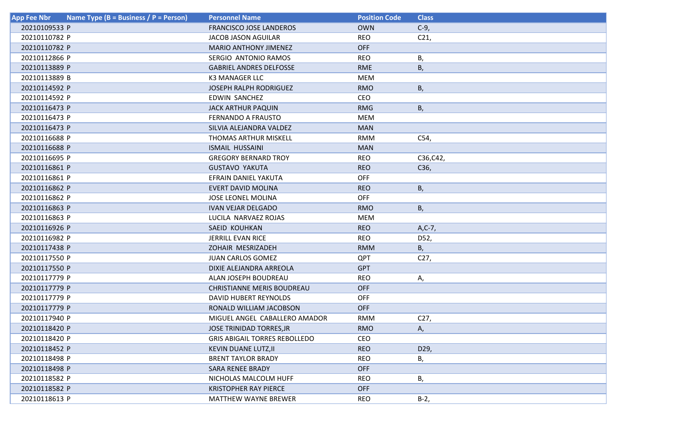| Name Type (B = Business / P = Person)<br><b>App Fee Nbr</b> | <b>Personnel Name</b>                | <b>Position Code</b> | <b>Class</b>    |
|-------------------------------------------------------------|--------------------------------------|----------------------|-----------------|
| 20210109533 P                                               | <b>FRANCISCO JOSE LANDEROS</b>       | <b>OWN</b>           | $C-9$ ,         |
| 20210110782 P                                               | JACOB JASON AGUILAR                  | <b>REO</b>           | C <sub>21</sub> |
| 20210110782 P                                               | <b>MARIO ANTHONY JIMENEZ</b>         | <b>OFF</b>           |                 |
| 20210112866 P                                               | SERGIO ANTONIO RAMOS                 | <b>REO</b>           | В,              |
| 20210113889 P                                               | <b>GABRIEL ANDRES DELFOSSE</b>       | <b>RME</b>           | В,              |
| 20210113889 B                                               | <b>K3 MANAGER LLC</b>                | <b>MEM</b>           |                 |
| 20210114592 P                                               | <b>JOSEPH RALPH RODRIGUEZ</b>        | <b>RMO</b>           | В,              |
| 20210114592 P                                               | <b>EDWIN SANCHEZ</b>                 | CEO                  |                 |
| 20210116473 P                                               | <b>JACK ARTHUR PAQUIN</b>            | <b>RMG</b>           | В,              |
| 20210116473 P                                               | <b>FERNANDO A FRAUSTO</b>            | <b>MEM</b>           |                 |
| 20210116473 P                                               | SILVIA ALEJANDRA VALDEZ              | <b>MAN</b>           |                 |
| 20210116688 P                                               | THOMAS ARTHUR MISKELL                | <b>RMM</b>           | C54,            |
| 20210116688 P                                               | ISMAIL HUSSAINI                      | <b>MAN</b>           |                 |
| 20210116695 P                                               | <b>GREGORY BERNARD TROY</b>          | <b>REO</b>           | C36, C42,       |
| 20210116861 P                                               | <b>GUSTAVO YAKUTA</b>                | <b>REO</b>           | C36,            |
| 20210116861 P                                               | EFRAIN DANIEL YAKUTA                 | <b>OFF</b>           |                 |
| 20210116862 P                                               | <b>EVERT DAVID MOLINA</b>            | <b>REO</b>           | В,              |
| 20210116862 P                                               | <b>JOSE LEONEL MOLINA</b>            | <b>OFF</b>           |                 |
| 20210116863 P                                               | <b>IVAN VEJAR DELGADO</b>            | <b>RMO</b>           | В,              |
| 20210116863 P                                               | LUCILA NARVAEZ ROJAS                 | <b>MEM</b>           |                 |
| 20210116926 P                                               | SAEID KOUHKAN                        | <b>REO</b>           | $A, C-7,$       |
| 20210116982 P                                               | JERRILL EVAN RICE                    | <b>REO</b>           | D52,            |
| 20210117438 P                                               | ZOHAIR MESRIZADEH                    | <b>RMM</b>           | В,              |
| 20210117550 P                                               | JUAN CARLOS GOMEZ                    | QPT                  | C27,            |
| 20210117550 P                                               | DIXIE ALEJANDRA ARREOLA              | <b>GPT</b>           |                 |
| 20210117779 P                                               | ALAN JOSEPH BOUDREAU                 | <b>REO</b>           | Α,              |
| 20210117779 P                                               | <b>CHRISTIANNE MERIS BOUDREAU</b>    | <b>OFF</b>           |                 |
| 20210117779 P                                               | DAVID HUBERT REYNOLDS                | <b>OFF</b>           |                 |
| 20210117779 P                                               | RONALD WILLIAM JACOBSON              | <b>OFF</b>           |                 |
| 20210117940 P                                               | MIGUEL ANGEL CABALLERO AMADOR        | <b>RMM</b>           | C27,            |
| 20210118420 P                                               | JOSE TRINIDAD TORRES, JR             | <b>RMO</b>           | А,              |
| 20210118420 P                                               | <b>GRIS ABIGAIL TORRES REBOLLEDO</b> | CEO                  |                 |
| 20210118452 P                                               | KEVIN DUANE LUTZ, II                 | <b>REO</b>           | D29,            |
| 20210118498 P                                               | <b>BRENT TAYLOR BRADY</b>            | <b>REO</b>           | В,              |
| 20210118498 P                                               | <b>SARA RENEE BRADY</b>              | <b>OFF</b>           |                 |
| 20210118582 P                                               | NICHOLAS MALCOLM HUFF                | <b>REO</b>           | В,              |
| 20210118582 P                                               | <b>KRISTOPHER RAY PIERCE</b>         | <b>OFF</b>           |                 |
| 20210118613 P                                               | <b>MATTHEW WAYNE BREWER</b>          | <b>REO</b>           | $B-2$ ,         |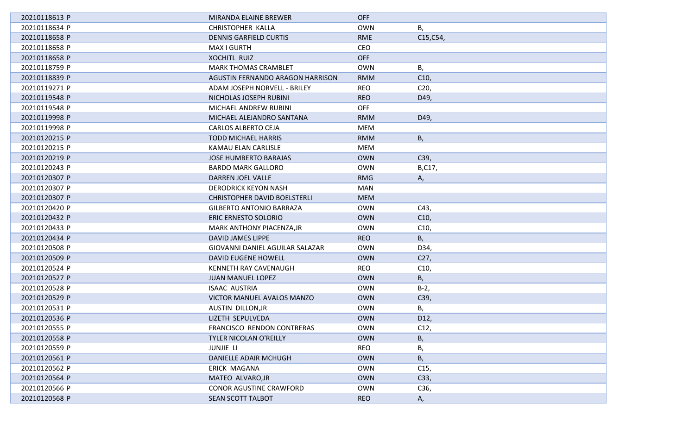| 20210118613 P | MIRANDA ELAINE BREWER               | <b>OFF</b> |                 |
|---------------|-------------------------------------|------------|-----------------|
| 20210118634 P | CHRISTOPHER KALLA                   | <b>OWN</b> | В,              |
| 20210118658 P | <b>DENNIS GARFIELD CURTIS</b>       | <b>RME</b> | C15, C54,       |
| 20210118658 P | MAX I GURTH                         | CEO        |                 |
| 20210118658 P | <b>XOCHITL RUIZ</b>                 | <b>OFF</b> |                 |
| 20210118759 P | <b>MARK THOMAS CRAMBLET</b>         | <b>OWN</b> | В,              |
| 20210118839 P | AGUSTIN FERNANDO ARAGON HARRISON    | <b>RMM</b> | C10,            |
| 20210119271 P | ADAM JOSEPH NORVELL - BRILEY        | <b>REO</b> | C <sub>20</sub> |
| 20210119548 P | NICHOLAS JOSEPH RUBINI              | <b>REO</b> | D49,            |
| 20210119548 P | MICHAEL ANDREW RUBINI               | <b>OFF</b> |                 |
| 20210119998 P | MICHAEL ALEJANDRO SANTANA           | <b>RMM</b> | D49,            |
| 20210119998 P | CARLOS ALBERTO CEJA                 | <b>MEM</b> |                 |
| 20210120215 P | <b>TODD MICHAEL HARRIS</b>          | <b>RMM</b> | В,              |
| 20210120215 P | KAMAU ELAN CARLISLE                 | <b>MEM</b> |                 |
| 20210120219 P | <b>JOSE HUMBERTO BARAJAS</b>        | <b>OWN</b> | C39,            |
| 20210120243 P | <b>BARDO MARK GALLORO</b>           | <b>OWN</b> | B,C17,          |
| 20210120307 P | DARREN JOEL VALLE                   | <b>RMG</b> | А,              |
| 20210120307 P | <b>DERODRICK KEYON NASH</b>         | MAN        |                 |
| 20210120307 P | <b>CHRISTOPHER DAVID BOELSTERLI</b> | <b>MEM</b> |                 |
| 20210120420 P | <b>GILBERTO ANTONIO BARRAZA</b>     | <b>OWN</b> | C43,            |
| 20210120432 P | ERIC ERNESTO SOLORIO                | <b>OWN</b> | C10,            |
| 20210120433 P | MARK ANTHONY PIACENZA, JR           | <b>OWN</b> | C10,            |
| 20210120434 P | DAVID JAMES LIPPE                   | <b>REO</b> | В,              |
| 20210120508 P | GIOVANNI DANIEL AGUILAR SALAZAR     | <b>OWN</b> | D34,            |
| 20210120509 P | <b>DAVID EUGENE HOWELL</b>          | <b>OWN</b> | C27,            |
| 20210120524 P | KENNETH RAY CAVENAUGH               | <b>REO</b> | C10,            |
| 20210120527 P | <b>JUAN MANUEL LOPEZ</b>            | <b>OWN</b> | В,              |
| 20210120528 P | <b>ISAAC AUSTRIA</b>                | <b>OWN</b> | $B-2$ ,         |
| 20210120529 P | VICTOR MANUEL AVALOS MANZO          | <b>OWN</b> | C39,            |
| 20210120531 P | AUSTIN DILLON, JR                   | <b>OWN</b> | В,              |
| 20210120536 P | LIZETH SEPULVEDA                    | <b>OWN</b> | D12,            |
| 20210120555 P | FRANCISCO RENDON CONTRERAS          | <b>OWN</b> | C12,            |
| 20210120558 P | TYLER NICOLAN O'REILLY              | <b>OWN</b> | В,              |
| 20210120559 P | <b>JUNJIE LI</b>                    | <b>REO</b> | В,              |
| 20210120561 P | DANIELLE ADAIR MCHUGH               | <b>OWN</b> | В,              |
| 20210120562 P | ERICK MAGANA                        | <b>OWN</b> | C <sub>15</sub> |
| 20210120564 P | MATEO ALVARO, JR                    | <b>OWN</b> | C33,            |
| 20210120566 P | <b>CONOR AGUSTINE CRAWFORD</b>      | <b>OWN</b> | C36,            |
| 20210120568 P | SEAN SCOTT TALBOT                   | <b>REO</b> | А,              |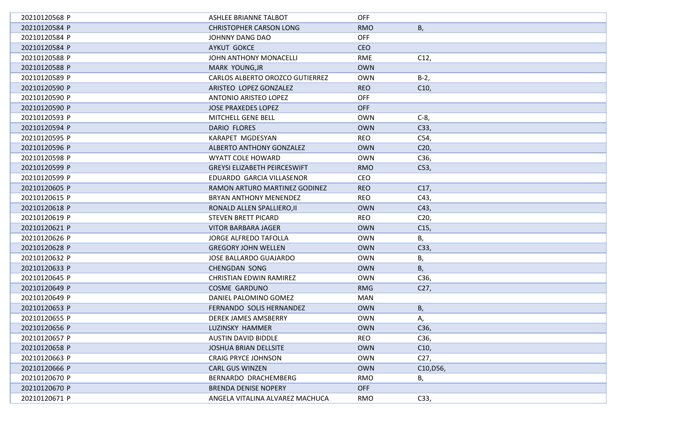| 20210120568 P | ASHLEE BRIANNE TALBOT               | <b>OFF</b> |                 |
|---------------|-------------------------------------|------------|-----------------|
| 20210120584 P | <b>CHRISTOPHER CARSON LONG</b>      | <b>RMO</b> | В,              |
| 20210120584 P | JOHNNY DANG DAO                     | <b>OFF</b> |                 |
| 20210120584 P | <b>AYKUT GOKCE</b>                  | <b>CEO</b> |                 |
| 20210120588 P | JOHN ANTHONY MONACELLI              | <b>RME</b> | C12,            |
| 20210120588 P | MARK YOUNG, JR                      | <b>OWN</b> |                 |
| 20210120589 P | CARLOS ALBERTO OROZCO GUTIERREZ     | <b>OWN</b> | $B-2$ ,         |
| 20210120590 P | ARISTEO LOPEZ GONZALEZ              | <b>REO</b> | C10,            |
| 20210120590 P | ANTONIO ARISTEO LOPEZ               | <b>OFF</b> |                 |
| 20210120590 P | <b>JOSE PRAXEDES LOPEZ</b>          | <b>OFF</b> |                 |
| 20210120593 P | MITCHELL GENE BELL                  | <b>OWN</b> | $C-8$ ,         |
| 20210120594 P | DARIO FLORES                        | <b>OWN</b> | C33,            |
| 20210120595 P | KARAPET MGDESYAN                    | <b>REO</b> | C54,            |
| 20210120596 P | ALBERTO ANTHONY GONZALEZ            | <b>OWN</b> | C <sub>20</sub> |
| 20210120598 P | <b>WYATT COLE HOWARD</b>            | <b>OWN</b> | C36,            |
| 20210120599 P | <b>GREYSI ELIZABETH PEIRCESWIFT</b> | <b>RMO</b> | C53,            |
| 20210120599 P | EDUARDO GARCIA VILLASENOR           | <b>CEO</b> |                 |
| 20210120605 P | RAMON ARTURO MARTINEZ GODINEZ       | <b>REO</b> | C17,            |
| 20210120615 P | BRYAN ANTHONY MENENDEZ              | <b>REO</b> | C43,            |
| 20210120618 P | RONALD ALLEN SPALLIERO, II          | <b>OWN</b> | C43,            |
| 20210120619 P | STEVEN BRETT PICARD                 | <b>REO</b> | C <sub>20</sub> |
| 20210120621 P | VITOR BARBARA JAGER                 | <b>OWN</b> | C <sub>15</sub> |
| 20210120626 P | <b>JORGE ALFREDO TAFOLLA</b>        | <b>OWN</b> | В,              |
| 20210120628 P | <b>GREGORY JOHN WELLEN</b>          | <b>OWN</b> | C33,            |
| 20210120632 P | JOSE BALLARDO GUAJARDO              | <b>OWN</b> | В,              |
| 20210120633 P | <b>CHENGDAN SONG</b>                | <b>OWN</b> | В,              |
| 20210120645 P | <b>CHRISTIAN EDWIN RAMIREZ</b>      | <b>OWN</b> | C36,            |
| 20210120649 P | <b>COSME GARDUNO</b>                | <b>RMG</b> | C <sub>27</sub> |
| 20210120649 P | DANIEL PALOMINO GOMEZ               | <b>MAN</b> |                 |
| 20210120653 P | FERNANDO SOLIS HERNANDEZ            | <b>OWN</b> | В,              |
| 20210120655 P | DEREK JAMES AMSBERRY                | <b>OWN</b> | А,              |
| 20210120656 P | LUZINSKY HAMMER                     | <b>OWN</b> | C36,            |
| 20210120657 P | <b>AUSTIN DAVID BIDDLE</b>          | <b>REO</b> | C36,            |
| 20210120658 P | <b>JOSHUA BRIAN DELLSITE</b>        | <b>OWN</b> | C10,            |
| 20210120663 P | <b>CRAIG PRYCE JOHNSON</b>          | <b>OWN</b> | C27,            |
| 20210120666 P | <b>CARL GUS WINZEN</b>              | <b>OWN</b> | C10, D56,       |
| 20210120670 P | BERNARDO DRACHEMBERG                | <b>RMO</b> | В,              |
| 20210120670 P | <b>BRENDA DENISE NOPERY</b>         | <b>OFF</b> |                 |
| 20210120671 P | ANGELA VITALINA ALVAREZ MACHUCA     | <b>RMO</b> | C33,            |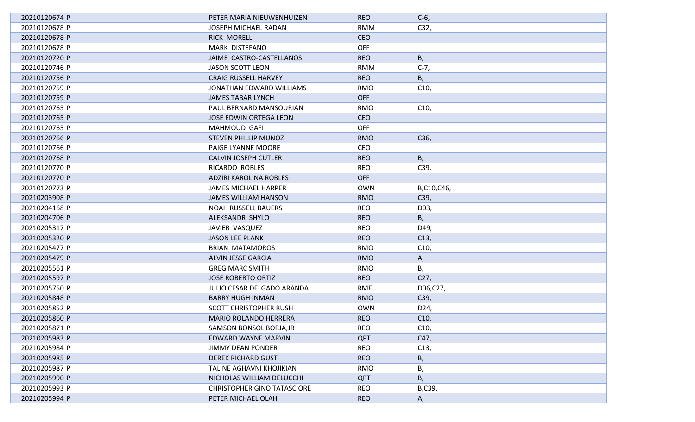| 20210120674 P | PETER MARIA NIEUWENHUIZEN          | <b>REO</b> | $C-6$           |
|---------------|------------------------------------|------------|-----------------|
| 20210120678 P | JOSEPH MICHAEL RADAN               | <b>RMM</b> | C32,            |
| 20210120678 P | <b>RICK MORELLI</b>                | <b>CEO</b> |                 |
| 20210120678 P | MARK DISTEFANO                     | <b>OFF</b> |                 |
| 20210120720 P | JAIME CASTRO-CASTELLANOS           | <b>REO</b> | B,              |
| 20210120746 P | JASON SCOTT LEON                   | <b>RMM</b> | $C-7,$          |
| 20210120756 P | <b>CRAIG RUSSELL HARVEY</b>        | <b>REO</b> | В,              |
| 20210120759 P | JONATHAN EDWARD WILLIAMS           | RMO        | C10,            |
| 20210120759 P | <b>JAMES TABAR LYNCH</b>           | <b>OFF</b> |                 |
| 20210120765 P | PAUL BERNARD MANSOURIAN            | <b>RMO</b> | C10,            |
| 20210120765 P | JOSE EDWIN ORTEGA LEON             | <b>CEO</b> |                 |
| 20210120765 P | MAHMOUD GAFI                       | <b>OFF</b> |                 |
| 20210120766 P | <b>STEVEN PHILLIP MUNOZ</b>        | <b>RMO</b> | C36,            |
| 20210120766 P | PAIGE LYANNE MOORE                 | <b>CEO</b> |                 |
| 20210120768 P | <b>CALVIN JOSEPH CUTLER</b>        | <b>REO</b> | B,              |
| 20210120770 P | RICARDO ROBLES                     | <b>REO</b> | C39,            |
| 20210120770 P | ADZIRI KAROLINA ROBLES             | <b>OFF</b> |                 |
| 20210120773 P | <b>JAMES MICHAEL HARPER</b>        | <b>OWN</b> | B,C10,C46,      |
| 20210203908 P | <b>JAMES WILLIAM HANSON</b>        | <b>RMO</b> | C39,            |
| 20210204168 P | <b>NOAH RUSSELL BAUERS</b>         | <b>REO</b> | D03,            |
| 20210204706 P | ALEKSANDR SHYLO                    | <b>REO</b> | В,              |
| 20210205317 P | JAVIER VASQUEZ                     | <b>REO</b> | D49,            |
| 20210205320 P | <b>JASON LEE PLANK</b>             | <b>REO</b> | C13,            |
| 20210205477 P | <b>BRIAN MATAMOROS</b>             | <b>RMO</b> | C10,            |
| 20210205479 P | ALVIN JESSE GARCIA                 | <b>RMO</b> | Α,              |
| 20210205561 P | <b>GREG MARC SMITH</b>             | <b>RMO</b> | В,              |
| 20210205597 P | <b>JOSE ROBERTO ORTIZ</b>          | <b>REO</b> | C <sub>27</sub> |
| 20210205750 P | JULIO CESAR DELGADO ARANDA         | <b>RME</b> | D06,C27,        |
| 20210205848 P | <b>BARRY HUGH INMAN</b>            | <b>RMO</b> | C39,            |
| 20210205852 P | <b>SCOTT CHRISTOPHER RUSH</b>      | <b>OWN</b> | D24,            |
| 20210205860 P | <b>MARIO ROLANDO HERRERA</b>       | <b>REO</b> | C10,            |
| 20210205871 P | SAMSON BONSOL BORJA, JR            | <b>REO</b> | C10,            |
| 20210205983 P | EDWARD WAYNE MARVIN                | QPT        | C47,            |
| 20210205984 P | <b>JIMMY DEAN PONDER</b>           | <b>REO</b> | C13,            |
| 20210205985 P | <b>DEREK RICHARD GUST</b>          | <b>REO</b> | В,              |
| 20210205987 P | TALINE AGHAVNI KHOJIKIAN           | <b>RMO</b> | В,              |
| 20210205990 P | NICHOLAS WILLIAM DELUCCHI          | <b>QPT</b> | В,              |
| 20210205993 P | <b>CHRISTOPHER GINO TATASCIORE</b> | <b>REO</b> | B,C39,          |
| 20210205994 P | PETER MICHAEL OLAH                 | <b>REO</b> | А,              |